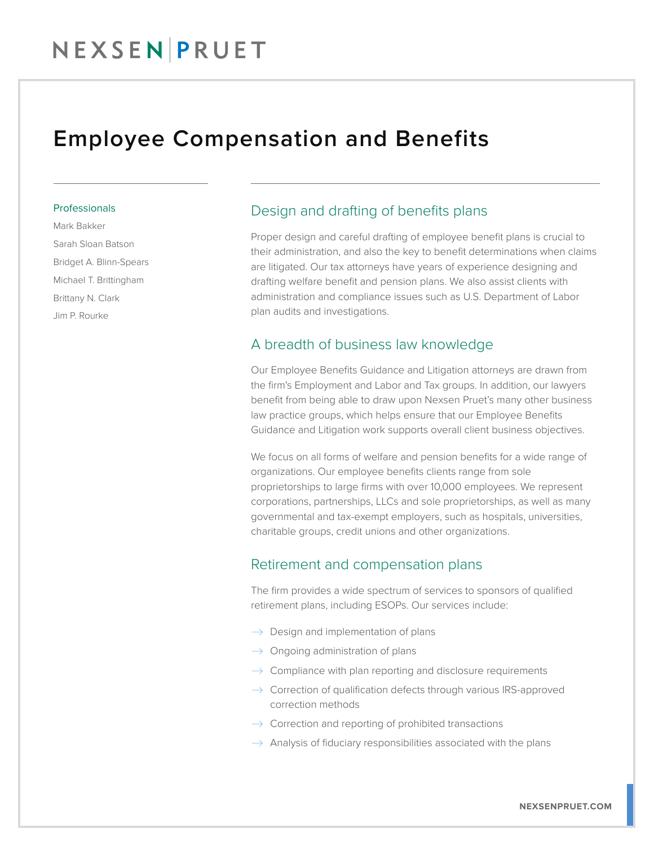### Employee Compensation and Benefits

#### Professionals

Mark Bakker Sarah Sloan Batson Bridget A. Blinn-Spears Michael T. Brittingham Brittany N. Clark Jim P. Rourke

### Design and drafting of benefits plans

Proper design and careful drafting of employee benefit plans is crucial to their administration, and also the key to benefit determinations when claims are litigated. Our tax attorneys have years of experience designing and drafting welfare benefit and pension plans. We also assist clients with administration and compliance issues such as U.S. Department of Labor plan audits and investigations.

### A breadth of business law knowledge

Our Employee Benefits Guidance and Litigation attorneys are drawn from the firm's Employment and Labor and Tax groups. In addition, our lawyers benefit from being able to draw upon Nexsen Pruet's many other business law practice groups, which helps ensure that our Employee Benefits Guidance and Litigation work supports overall client business objectives.

We focus on all forms of welfare and pension benefits for a wide range of organizations. Our employee benefits clients range from sole proprietorships to large firms with over 10,000 employees. We represent corporations, partnerships, LLCs and sole proprietorships, as well as many governmental and tax-exempt employers, such as hospitals, universities, charitable groups, credit unions and other organizations.

#### Retirement and compensation plans

The firm provides a wide spectrum of services to sponsors of qualified retirement plans, including ESOPs. Our services include:

- $\rightarrow$  Design and implementation of plans
- $\rightarrow$  Ongoing administration of plans
- $\rightarrow$  Compliance with plan reporting and disclosure requirements
- $\rightarrow$  Correction of qualification defects through various IRS-approved correction methods
- $\rightarrow$  Correction and reporting of prohibited transactions
- $\rightarrow$  Analysis of fiduciary responsibilities associated with the plans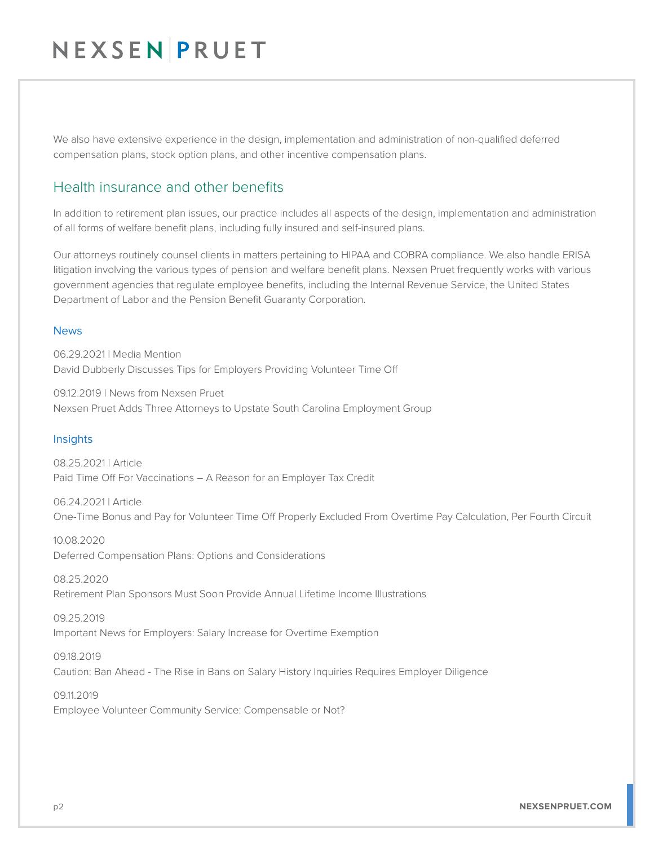We also have extensive experience in the design, implementation and administration of non-qualified deferred compensation plans, stock option plans, and other incentive compensation plans.

### Health insurance and other benefits

In addition to retirement plan issues, our practice includes all aspects of the design, implementation and administration of all forms of welfare benefit plans, including fully insured and self-insured plans.

Our attorneys routinely counsel clients in matters pertaining to HIPAA and COBRA compliance. We also handle ERISA litigation involving the various types of pension and welfare benefit plans. Nexsen Pruet frequently works with various government agencies that regulate employee benefits, including the Internal Revenue Service, the United States Department of Labor and the Pension Benefit Guaranty Corporation.

#### News

06.29.2021 | Media Mention David Dubberly Discusses Tips for Employers Providing Volunteer Time Off

09.12.2019 | News from Nexsen Pruet Nexsen Pruet Adds Three Attorneys to Upstate South Carolina Employment Group

#### **Insights**

08.25.2021 | Article Paid Time Off For Vaccinations – A Reason for an Employer Tax Credit

06.24.2021 | Article One-Time Bonus and Pay for Volunteer Time Off Properly Excluded From Overtime Pay Calculation, Per Fourth Circuit

10.08.2020 Deferred Compensation Plans: Options and Considerations

08.25.2020 Retirement Plan Sponsors Must Soon Provide Annual Lifetime Income Illustrations

09.25.2019 Important News for Employers: Salary Increase for Overtime Exemption

09.18.2019 Caution: Ban Ahead - The Rise in Bans on Salary History Inquiries Requires Employer Diligence

09.11.2019 Employee Volunteer Community Service: Compensable or Not?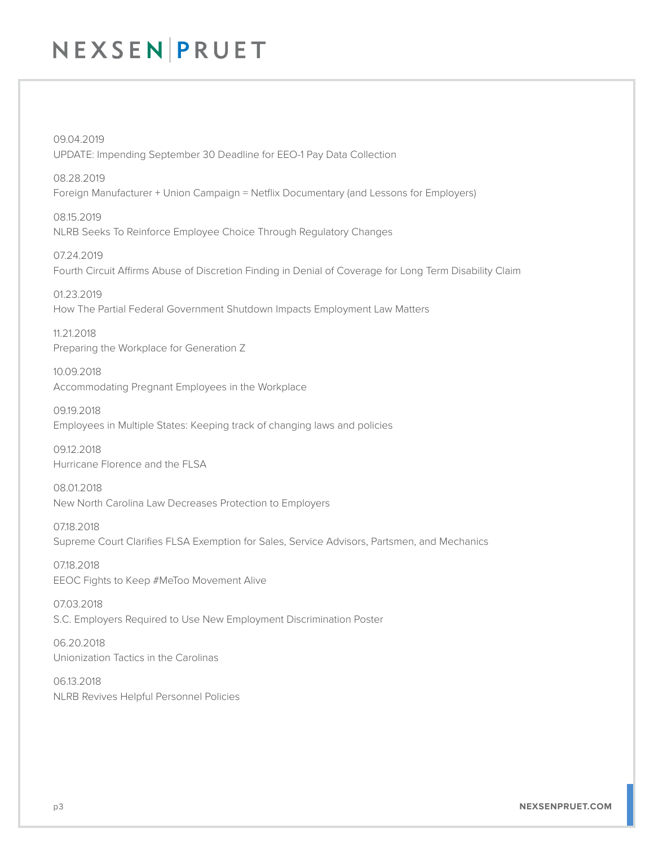09.04.2019 UPDATE: Impending September 30 Deadline for EEO-1 Pay Data Collection

08.28.2019 Foreign Manufacturer + Union Campaign = Netflix Documentary (and Lessons for Employers)

08.15.2019 NLRB Seeks To Reinforce Employee Choice Through Regulatory Changes

07.24.2019 Fourth Circuit Affirms Abuse of Discretion Finding in Denial of Coverage for Long Term Disability Claim

01.23.2019 How The Partial Federal Government Shutdown Impacts Employment Law Matters

11.21.2018 Preparing the Workplace for Generation Z

10.09.2018 Accommodating Pregnant Employees in the Workplace

09.19.2018 Employees in Multiple States: Keeping track of changing laws and policies

09.12.2018 Hurricane Florence and the FLSA

08.01.2018 New North Carolina Law Decreases Protection to Employers

07.18.2018 Supreme Court Clarifies FLSA Exemption for Sales, Service Advisors, Partsmen, and Mechanics

07.18.2018 EEOC Fights to Keep #MeToo Movement Alive

07.03.2018 S.C. Employers Required to Use New Employment Discrimination Poster

06.20.2018 Unionization Tactics in the Carolinas

06.13.2018 NLRB Revives Helpful Personnel Policies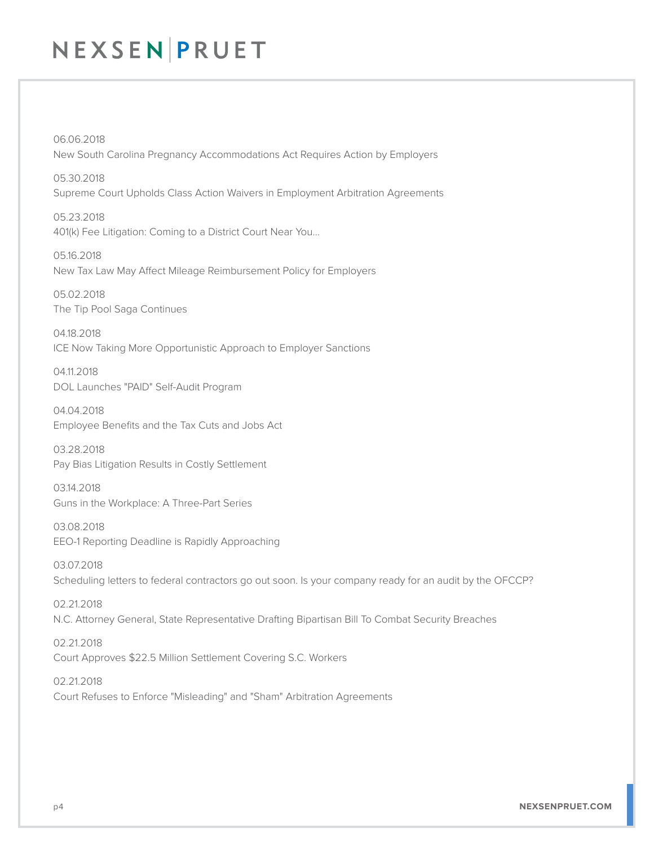06.06.2018 New South Carolina Pregnancy Accommodations Act Requires Action by Employers

05.30.2018 Supreme Court Upholds Class Action Waivers in Employment Arbitration Agreements

05.23.2018 401(k) Fee Litigation: Coming to a District Court Near You…

05.16.2018 New Tax Law May Affect Mileage Reimbursement Policy for Employers

05.02.2018 The Tip Pool Saga Continues

04.18.2018 ICE Now Taking More Opportunistic Approach to Employer Sanctions

04.11.2018 DOL Launches "PAID" Self-Audit Program

04.04.2018 Employee Benefits and the Tax Cuts and Jobs Act

03.28.2018 Pay Bias Litigation Results in Costly Settlement

03.14.2018 Guns in the Workplace: A Three-Part Series

03.08.2018 EEO-1 Reporting Deadline is Rapidly Approaching

03.07.2018 Scheduling letters to federal contractors go out soon. Is your company ready for an audit by the OFCCP?

02.21.2018 N.C. Attorney General, State Representative Drafting Bipartisan Bill To Combat Security Breaches

02.21.2018 Court Approves \$22.5 Million Settlement Covering S.C. Workers

02.21.2018 Court Refuses to Enforce "Misleading" and "Sham" Arbitration Agreements